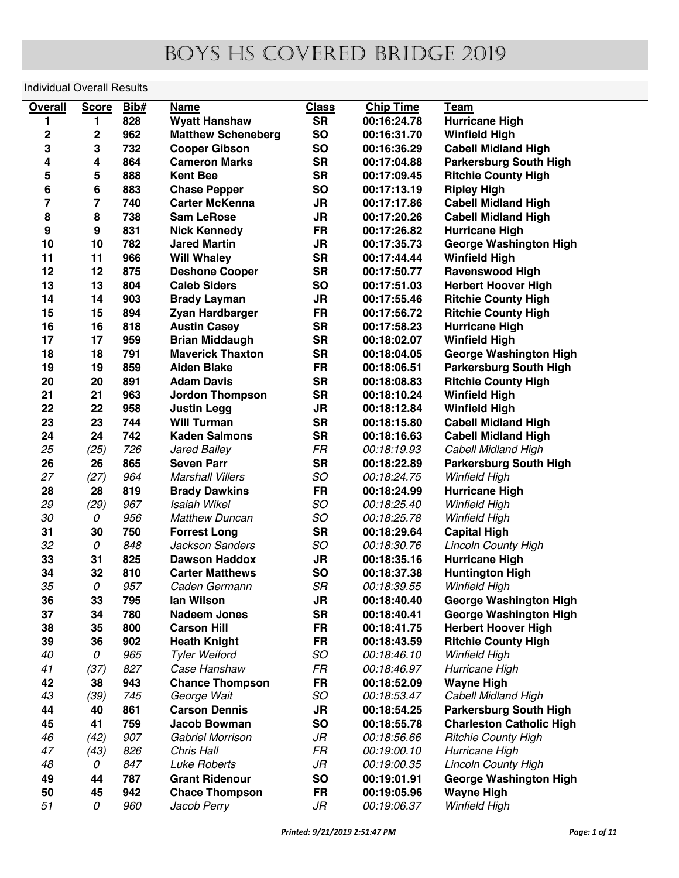## boys hs covered bridge 2019

## Individual Overall Results

| <b>Overall</b>   | <b>Score</b>     | Bib# | <b>Name</b>               | <b>Class</b> | <b>Chip Time</b> | Team                            |
|------------------|------------------|------|---------------------------|--------------|------------------|---------------------------------|
| 1                | 1                | 828  | <b>Wyatt Hanshaw</b>      | <b>SR</b>    | 00:16:24.78      | <b>Hurricane High</b>           |
| $\mathbf 2$      | $\mathbf 2$      | 962  | <b>Matthew Scheneberg</b> | <b>SO</b>    | 00:16:31.70      | <b>Winfield High</b>            |
| 3                | 3                | 732  | <b>Cooper Gibson</b>      | <b>SO</b>    | 00:16:36.29      | <b>Cabell Midland High</b>      |
| 4                | 4                | 864  | <b>Cameron Marks</b>      | <b>SR</b>    | 00:17:04.88      | <b>Parkersburg South High</b>   |
| ${\bf 5}$        | 5                | 888  | <b>Kent Bee</b>           | <b>SR</b>    | 00:17:09.45      | <b>Ritchie County High</b>      |
| 6                | $\bf 6$          | 883  | <b>Chase Pepper</b>       | <b>SO</b>    | 00:17:13.19      | <b>Ripley High</b>              |
| 7                | $\overline{7}$   | 740  | <b>Carter McKenna</b>     | <b>JR</b>    | 00:17:17.86      | <b>Cabell Midland High</b>      |
| 8                | 8                | 738  | <b>Sam LeRose</b>         | <b>JR</b>    | 00:17:20.26      | <b>Cabell Midland High</b>      |
| $\boldsymbol{9}$ | $\boldsymbol{9}$ | 831  | <b>Nick Kennedy</b>       | <b>FR</b>    | 00:17:26.82      | <b>Hurricane High</b>           |
| 10               | 10               | 782  | <b>Jared Martin</b>       | <b>JR</b>    | 00:17:35.73      | <b>George Washington High</b>   |
| 11               | 11               | 966  | <b>Will Whaley</b>        | <b>SR</b>    | 00:17:44.44      | <b>Winfield High</b>            |
| 12               | 12               | 875  | <b>Deshone Cooper</b>     | <b>SR</b>    | 00:17:50.77      | <b>Ravenswood High</b>          |
| 13               | 13               | 804  | <b>Caleb Siders</b>       | SO           | 00:17:51.03      | <b>Herbert Hoover High</b>      |
| 14               | 14               | 903  | <b>Brady Layman</b>       | <b>JR</b>    | 00:17:55.46      | <b>Ritchie County High</b>      |
| 15               | 15               | 894  | Zyan Hardbarger           | <b>FR</b>    | 00:17:56.72      | <b>Ritchie County High</b>      |
| 16               | 16               | 818  | <b>Austin Casey</b>       | <b>SR</b>    | 00:17:58.23      | <b>Hurricane High</b>           |
|                  | 17               |      | <b>Brian Middaugh</b>     |              |                  |                                 |
| 17               |                  | 959  | <b>Maverick Thaxton</b>   | <b>SR</b>    | 00:18:02.07      | <b>Winfield High</b>            |
| 18               | 18               | 791  |                           | <b>SR</b>    | 00:18:04.05      | <b>George Washington High</b>   |
| 19               | 19               | 859  | <b>Aiden Blake</b>        | <b>FR</b>    | 00:18:06.51      | <b>Parkersburg South High</b>   |
| 20               | 20               | 891  | <b>Adam Davis</b>         | <b>SR</b>    | 00:18:08.83      | <b>Ritchie County High</b>      |
| 21               | 21               | 963  | <b>Jordon Thompson</b>    | <b>SR</b>    | 00:18:10.24      | <b>Winfield High</b>            |
| 22               | 22               | 958  | <b>Justin Legg</b>        | JR           | 00:18:12.84      | <b>Winfield High</b>            |
| 23               | 23               | 744  | <b>Will Turman</b>        | <b>SR</b>    | 00:18:15.80      | <b>Cabell Midland High</b>      |
| 24               | 24               | 742  | <b>Kaden Salmons</b>      | <b>SR</b>    | 00:18:16.63      | <b>Cabell Midland High</b>      |
| 25               | (25)             | 726  | Jared Bailey              | FR           | 00:18:19.93      | Cabell Midland High             |
| 26               | 26               | 865  | <b>Seven Parr</b>         | <b>SR</b>    | 00:18:22.89      | <b>Parkersburg South High</b>   |
| 27               | (27)             | 964  | <b>Marshall Villers</b>   | SO           | 00:18:24.75      | Winfield High                   |
| 28               | 28               | 819  | <b>Brady Dawkins</b>      | <b>FR</b>    | 00:18:24.99      | <b>Hurricane High</b>           |
| 29               | (29)             | 967  | <b>Isaiah Wikel</b>       | SO           | 00:18:25.40      | <b>Winfield High</b>            |
| 30               | 0                | 956  | <b>Matthew Duncan</b>     | SO           | 00:18:25.78      | Winfield High                   |
| 31               | 30               | 750  | <b>Forrest Long</b>       | <b>SR</b>    | 00:18:29.64      | <b>Capital High</b>             |
| 32               | 0                | 848  | <b>Jackson Sanders</b>    | SO           | 00:18:30.76      | <b>Lincoln County High</b>      |
| 33               | 31               | 825  | <b>Dawson Haddox</b>      | <b>JR</b>    | 00:18:35.16      | <b>Hurricane High</b>           |
| 34               | 32               | 810  | <b>Carter Matthews</b>    | <b>SO</b>    | 00:18:37.38      | <b>Huntington High</b>          |
| 35               | 0                | 957  | Caden Germann             | SR           | 00:18:39.55      | Winfield High                   |
| 36               | 33               | 795  | lan Wilson                | JR           | 00:18:40.40      | <b>George Washington High</b>   |
| 37               | 34               | 780  | <b>Nadeem Jones</b>       | <b>SR</b>    | 00:18:40.41      | <b>George Washington High</b>   |
| 38               | 35               | 800  | <b>Carson Hill</b>        | <b>FR</b>    | 00:18:41.75      | <b>Herbert Hoover High</b>      |
| 39               | 36               | 902  | <b>Heath Knight</b>       | FR           | 00:18:43.59      | <b>Ritchie County High</b>      |
| 40               | 0                | 965  | <b>Tyler Weiford</b>      | SO           | 00:18:46.10      | <b>Winfield High</b>            |
| 41               | (37)             | 827  | Case Hanshaw              | FR           | 00:18:46.97      | Hurricane High                  |
| 42               | 38               | 943  | <b>Chance Thompson</b>    | <b>FR</b>    | 00:18:52.09      | <b>Wayne High</b>               |
| 43               | (39)             | 745  | George Wait               | SO           | 00:18:53.47      | Cabell Midland High             |
| 44               | 40               | 861  | <b>Carson Dennis</b>      | <b>JR</b>    | 00:18:54.25      | <b>Parkersburg South High</b>   |
| 45               | 41               | 759  | <b>Jacob Bowman</b>       | <b>SO</b>    | 00:18:55.78      | <b>Charleston Catholic High</b> |
| 46               | (42)             | 907  | Gabriel Morrison          | JR           | 00:18:56.66      | <b>Ritchie County High</b>      |
| 47               | (43)             | 826  | Chris Hall                | FR           | 00:19:00.10      | Hurricane High                  |
| 48               | 0                | 847  | <b>Luke Roberts</b>       | JR           | 00:19:00.35      | <b>Lincoln County High</b>      |
| 49               | 44               | 787  | <b>Grant Ridenour</b>     | <b>SO</b>    | 00:19:01.91      | <b>George Washington High</b>   |
| 50               | 45               | 942  | <b>Chace Thompson</b>     | <b>FR</b>    | 00:19:05.96      | <b>Wayne High</b>               |
| 51               | 0                | 960  | Jacob Perry               | JR           | 00:19:06.37      | <b>Winfield High</b>            |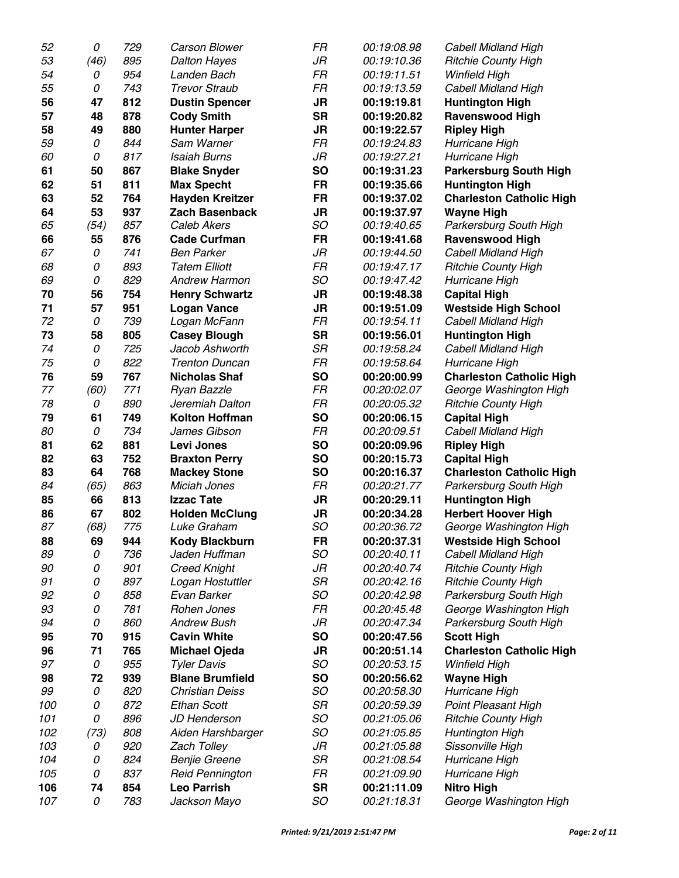| 52  | 0    | 729 | <b>Carson Blower</b>   | FR        | 00:19:08.98 | <b>Cabell Midland High</b>      |
|-----|------|-----|------------------------|-----------|-------------|---------------------------------|
| 53  | (46) | 895 | <b>Dalton Hayes</b>    | JR        | 00:19:10.36 | <b>Ritchie County High</b>      |
| 54  | 0    | 954 | Landen Bach            | FR        | 00:19:11.51 | Winfield High                   |
| 55  | 0    | 743 | <b>Trevor Straub</b>   | FR        | 00:19:13.59 | <b>Cabell Midland High</b>      |
| 56  | 47   | 812 | <b>Dustin Spencer</b>  | <b>JR</b> | 00:19:19.81 | <b>Huntington High</b>          |
| 57  | 48   | 878 | <b>Cody Smith</b>      | <b>SR</b> | 00:19:20.82 | <b>Ravenswood High</b>          |
| 58  | 49   | 880 | <b>Hunter Harper</b>   | <b>JR</b> | 00:19:22.57 | <b>Ripley High</b>              |
| 59  | 0    | 844 | Sam Warner             | FR        | 00:19:24.83 | Hurricane High                  |
| 60  | 0    | 817 | <b>Isaiah Burns</b>    | JR        | 00:19:27.21 | Hurricane High                  |
| 61  | 50   | 867 | <b>Blake Snyder</b>    | <b>SO</b> | 00:19:31.23 | <b>Parkersburg South High</b>   |
| 62  | 51   | 811 | <b>Max Specht</b>      | FR        | 00:19:35.66 | <b>Huntington High</b>          |
| 63  | 52   | 764 | <b>Hayden Kreitzer</b> | <b>FR</b> | 00:19:37.02 | <b>Charleston Catholic High</b> |
| 64  | 53   | 937 | <b>Zach Basenback</b>  | <b>JR</b> | 00:19:37.97 | <b>Wayne High</b>               |
| 65  | (54) | 857 | Caleb Akers            | SO        | 00:19:40.65 | Parkersburg South High          |
| 66  | 55   | 876 | <b>Cade Curfman</b>    | <b>FR</b> | 00:19:41.68 | <b>Ravenswood High</b>          |
| 67  | 0    | 741 | <b>Ben Parker</b>      | JR        | 00:19:44.50 | <b>Cabell Midland High</b>      |
| 68  | 0    | 893 | <b>Tatem Elliott</b>   | FR        | 00:19:47.17 | <b>Ritchie County High</b>      |
| 69  | 0    | 829 | <b>Andrew Harmon</b>   | SO        | 00:19:47.42 | Hurricane High                  |
| 70  | 56   | 754 | <b>Henry Schwartz</b>  | <b>JR</b> | 00:19:48.38 | <b>Capital High</b>             |
| 71  | 57   | 951 | <b>Logan Vance</b>     | <b>JR</b> | 00:19:51.09 | <b>Westside High School</b>     |
| 72  | 0    | 739 | Logan McFann           | FR        | 00:19:54.11 | Cabell Midland High             |
| 73  | 58   | 805 | <b>Casey Blough</b>    | <b>SR</b> | 00:19:56.01 | <b>Huntington High</b>          |
| 74  | 0    | 725 | Jacob Ashworth         | SR        | 00:19:58.24 | Cabell Midland High             |
| 75  | 0    | 822 | <b>Trenton Duncan</b>  | FR        | 00:19:58.64 | Hurricane High                  |
| 76  | 59   | 767 | <b>Nicholas Shaf</b>   | <b>SO</b> | 00:20:00.99 | <b>Charleston Catholic High</b> |
| 77  | (60) | 771 | Ryan Bazzle            | FR        | 00:20:02.07 | George Washington High          |
| 78  | 0    | 890 | Jeremiah Dalton        | FR        | 00:20:05.32 | <b>Ritchie County High</b>      |
| 79  | 61   | 749 | <b>Kolton Hoffman</b>  | <b>SO</b> | 00:20:06.15 | <b>Capital High</b>             |
| 80  | 0    | 734 | James Gibson           | FR        | 00:20:09.51 | <b>Cabell Midland High</b>      |
| 81  | 62   | 881 | <b>Levi Jones</b>      | <b>SO</b> | 00:20:09.96 | <b>Ripley High</b>              |
| 82  | 63   | 752 | <b>Braxton Perry</b>   | <b>SO</b> | 00:20:15.73 | <b>Capital High</b>             |
| 83  | 64   | 768 | <b>Mackey Stone</b>    | <b>SO</b> | 00:20:16.37 | <b>Charleston Catholic High</b> |
| 84  | (65) | 863 | Miciah Jones           | FR        | 00:20:21.77 | Parkersburg South High          |
| 85  | 66   | 813 | <b>Izzac Tate</b>      | JR        | 00:20:29.11 | <b>Huntington High</b>          |
| 86  | 67   | 802 | <b>Holden McClung</b>  | JR        | 00:20:34.28 | <b>Herbert Hoover High</b>      |
| 87  | (68) | 775 | Luke Graham            | SO        | 00:20:36.72 | George Washington High          |
| 88  | 69   | 944 | <b>Kody Blackburn</b>  | <b>FR</b> | 00:20:37.31 | <b>Westside High School</b>     |
| 89  | 0    | 736 | Jaden Huffman          | SO        | 00:20:40.11 | Cabell Midland High             |
| 90  | 0    | 901 | <b>Creed Knight</b>    | JR        | 00:20:40.74 | <b>Ritchie County High</b>      |
| 91  | 0    | 897 | Logan Hostuttler       | SR        | 00:20:42.16 | <b>Ritchie County High</b>      |
| 92  | 0    | 858 | Evan Barker            | SO        | 00:20:42.98 | Parkersburg South High          |
| 93  | 0    | 781 | Rohen Jones            | FR        | 00:20:45.48 | George Washington High          |
| 94  | 0    | 860 | <b>Andrew Bush</b>     | JR        | 00:20:47.34 | Parkersburg South High          |
| 95  | 70   | 915 | <b>Cavin White</b>     | <b>SO</b> | 00:20:47.56 | <b>Scott High</b>               |
| 96  | 71   | 765 | <b>Michael Ojeda</b>   | JR        | 00:20:51.14 | <b>Charleston Catholic High</b> |
| 97  | 0    | 955 | <b>Tyler Davis</b>     | SO        | 00:20:53.15 | Winfield High                   |
| 98  | 72   | 939 | <b>Blane Brumfield</b> | <b>SO</b> | 00:20:56.62 | <b>Wayne High</b>               |
| 99  | 0    | 820 | <b>Christian Deiss</b> | SO        | 00:20:58.30 | Hurricane High                  |
| 100 | 0    | 872 | <b>Ethan Scott</b>     | SR        | 00:20:59.39 | <b>Point Pleasant High</b>      |
| 101 | 0    | 896 | JD Henderson           | SO        | 00:21:05.06 | <b>Ritchie County High</b>      |
| 102 | (73) | 808 | Aiden Harshbarger      | SO        | 00:21:05.85 | Huntington High                 |
| 103 | 0    | 920 | <b>Zach Tolley</b>     | JR        | 00:21:05.88 | Sissonville High                |
| 104 | 0    | 824 | <b>Benjie Greene</b>   | SR        | 00:21:08.54 | Hurricane High                  |
| 105 | 0    | 837 | <b>Reid Pennington</b> | FR        | 00:21:09.90 | Hurricane High                  |
| 106 | 74   | 854 | <b>Leo Parrish</b>     | <b>SR</b> | 00:21:11.09 | <b>Nitro High</b>               |
| 107 | 0    | 783 | Jackson Mayo           | SO        | 00:21:18.31 | George Washington High          |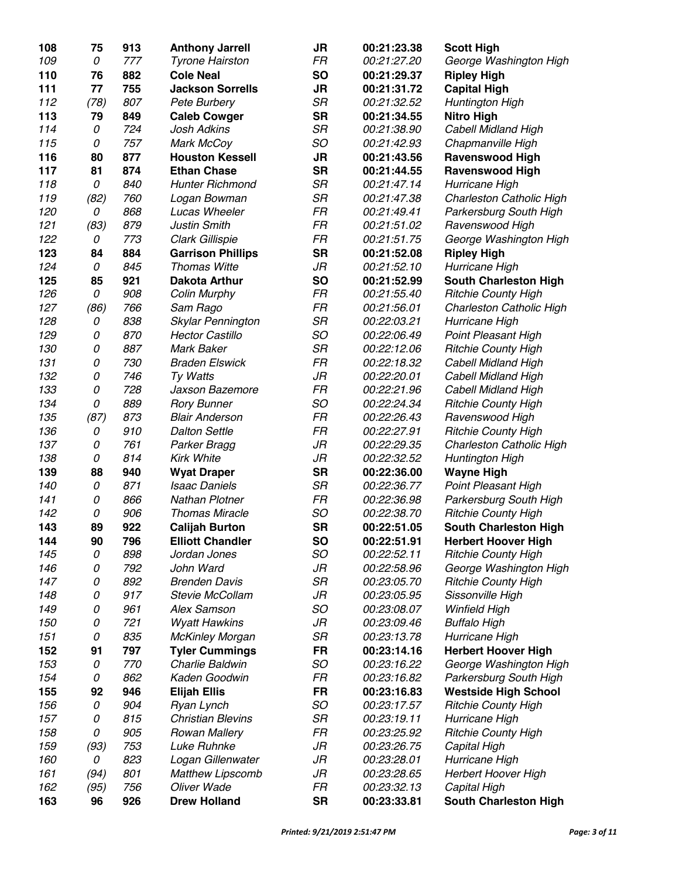| 108        | 75   | 913 | <b>Anthony Jarrell</b>                     | JR        | 00:21:23.38 | <b>Scott High</b>                                      |
|------------|------|-----|--------------------------------------------|-----------|-------------|--------------------------------------------------------|
| 109        | 0    | 777 | <b>Tyrone Hairston</b>                     | FR        | 00:21:27.20 | George Washington High                                 |
| 110        | 76   | 882 | <b>Cole Neal</b>                           | <b>SO</b> | 00:21:29.37 | <b>Ripley High</b>                                     |
| 111        | 77   | 755 | <b>Jackson Sorrells</b>                    | <b>JR</b> | 00:21:31.72 | <b>Capital High</b>                                    |
| 112        | (78) | 807 | Pete Burbery                               | SR        | 00:21:32.52 | Huntington High                                        |
| 113        | 79   | 849 | <b>Caleb Cowger</b>                        | <b>SR</b> | 00:21:34.55 | <b>Nitro High</b>                                      |
| 114        | 0    | 724 | Josh Adkins                                | <b>SR</b> | 00:21:38.90 | Cabell Midland High                                    |
| 115        | 0    | 757 | Mark McCoy                                 | SO        | 00:21:42.93 | Chapmanville High                                      |
| 116        | 80   | 877 | <b>Houston Kessell</b>                     | <b>JR</b> | 00:21:43.56 | <b>Ravenswood High</b>                                 |
| 117        | 81   | 874 | <b>Ethan Chase</b>                         | <b>SR</b> | 00:21:44.55 | <b>Ravenswood High</b>                                 |
| 118        | 0    | 840 | <b>Hunter Richmond</b>                     | <b>SR</b> | 00:21:47.14 | Hurricane High                                         |
| 119        | (82) | 760 | Logan Bowman                               | SR        | 00:21:47.38 | Charleston Catholic High                               |
| 120        | 0    | 868 | Lucas Wheeler                              | FR        | 00:21:49.41 | Parkersburg South High                                 |
| 121        | (83) | 879 | <b>Justin Smith</b>                        | FR        | 00:21:51.02 | Ravenswood High                                        |
| 122        | 0    | 773 | Clark Gillispie                            | FR        | 00:21:51.75 | George Washington High                                 |
| 123        | 84   | 884 | <b>Garrison Phillips</b>                   | <b>SR</b> | 00:21:52.08 | <b>Ripley High</b>                                     |
| 124        | 0    | 845 | <b>Thomas Witte</b>                        | JR        | 00:21:52.10 | Hurricane High                                         |
| 125        | 85   | 921 | <b>Dakota Arthur</b>                       | <b>SO</b> | 00:21:52.99 | <b>South Charleston High</b>                           |
| 126        | 0    | 908 | <b>Colin Murphy</b>                        | FR        | 00:21:55.40 | <b>Ritchie County High</b>                             |
| 127        | (86) | 766 | Sam Rago                                   | FR        | 00:21:56.01 | Charleston Catholic High                               |
| 128        | 0    | 838 | Skylar Pennington                          | SR        | 00:22:03.21 | Hurricane High                                         |
| 129        | 0    | 870 | <b>Hector Castillo</b>                     | SO        | 00:22:06.49 | <b>Point Pleasant High</b>                             |
| 130        | 0    | 887 | <b>Mark Baker</b>                          | SR        | 00:22:12.06 | <b>Ritchie County High</b>                             |
| 131        | 0    | 730 | <b>Braden Elswick</b>                      | FR        | 00:22:18.32 | <b>Cabell Midland High</b>                             |
| 132        | 0    | 746 | Ty Watts                                   | JR        | 00:22:20.01 | Cabell Midland High                                    |
| 133        | 0    | 728 | Jaxson Bazemore                            | FR        | 00:22:21.96 | <b>Cabell Midland High</b>                             |
| 134        | 0    | 889 | <b>Rory Bunner</b>                         | SO        | 00:22:24.34 | <b>Ritchie County High</b>                             |
| 135        | (87) | 873 | <b>Blair Anderson</b>                      | FR        | 00:22:26.43 | Ravenswood High                                        |
| 136        | 0    | 910 | <b>Dalton Settle</b>                       | FR        | 00:22:27.91 |                                                        |
| 137        | 0    | 761 | Parker Bragg                               | JR        | 00:22:29.35 | <b>Ritchie County High</b><br>Charleston Catholic High |
| 138        | 0    | 814 | <b>Kirk White</b>                          | JR        | 00:22:32.52 |                                                        |
|            | 88   | 940 |                                            | <b>SR</b> | 00:22:36.00 | Huntington High                                        |
| 139<br>140 | 0    | 871 | <b>Wyat Draper</b><br><b>Isaac Daniels</b> | SR        | 00:22:36.77 | <b>Wayne High</b>                                      |
|            | 0    | 866 | Nathan Plotner                             | FR        | 00:22:36.98 | <b>Point Pleasant High</b>                             |
| 141<br>142 |      |     | <b>Thomas Miracle</b>                      | SO        |             | Parkersburg South High                                 |
|            | 0    | 906 |                                            |           | 00:22:38.70 | <b>Ritchie County High</b>                             |
| 143        | 89   | 922 | <b>Calijah Burton</b>                      | <b>SR</b> | 00:22:51.05 | <b>South Charleston High</b>                           |
| 144        | 90   | 796 | <b>Elliott Chandler</b>                    | SO        | 00:22:51.91 | <b>Herbert Hoover High</b>                             |
| 145        | 0    | 898 | Jordan Jones                               | SO        | 00:22:52.11 | <b>Ritchie County High</b>                             |
| 146        | 0    | 792 | John Ward                                  | JR        | 00:22:58.96 | George Washington High                                 |
| 147        | 0    | 892 | <b>Brenden Davis</b>                       | SR        | 00:23:05.70 | <b>Ritchie County High</b>                             |
| 148        | 0    | 917 | Stevie McCollam                            | JR        | 00:23:05.95 | Sissonville High                                       |
| 149        | 0    | 961 | <b>Alex Samson</b>                         | SO        | 00:23:08.07 | Winfield High                                          |
| 150        | 0    | 721 | <b>Wyatt Hawkins</b>                       | JR        | 00:23:09.46 | <b>Buffalo High</b>                                    |
| 151        | 0    | 835 | <b>McKinley Morgan</b>                     | SR        | 00:23:13.78 | Hurricane High                                         |
| 152        | 91   | 797 | <b>Tyler Cummings</b>                      | <b>FR</b> | 00:23:14.16 | <b>Herbert Hoover High</b>                             |
| 153        | 0    | 770 | Charlie Baldwin                            | SO        | 00:23:16.22 | George Washington High                                 |
| 154        | 0    | 862 | Kaden Goodwin                              | FR        | 00:23:16.82 | Parkersburg South High                                 |
| 155        | 92   | 946 | <b>Elijah Ellis</b>                        | FR        | 00:23:16.83 | <b>Westside High School</b>                            |
| 156        | 0    | 904 | Ryan Lynch                                 | SO        | 00:23:17.57 | <b>Ritchie County High</b>                             |
| 157        | 0    | 815 | <b>Christian Blevins</b>                   | SR        | 00:23:19.11 | Hurricane High                                         |
| 158        | 0    | 905 | <b>Rowan Mallery</b>                       | FR        | 00:23:25.92 | <b>Ritchie County High</b>                             |
| 159        | (93) | 753 | Luke Ruhnke                                | JR        | 00:23:26.75 | Capital High                                           |
| 160        | 0    | 823 | Logan Gillenwater                          | JR        | 00:23:28.01 | Hurricane High                                         |
| 161        | (94) | 801 | <b>Matthew Lipscomb</b>                    | JR        | 00:23:28.65 | <b>Herbert Hoover High</b>                             |
| 162        | (95) | 756 | Oliver Wade                                | FR        | 00:23:32.13 | Capital High                                           |
| 163        | 96   | 926 | <b>Drew Holland</b>                        | <b>SR</b> | 00:23:33.81 | <b>South Charleston High</b>                           |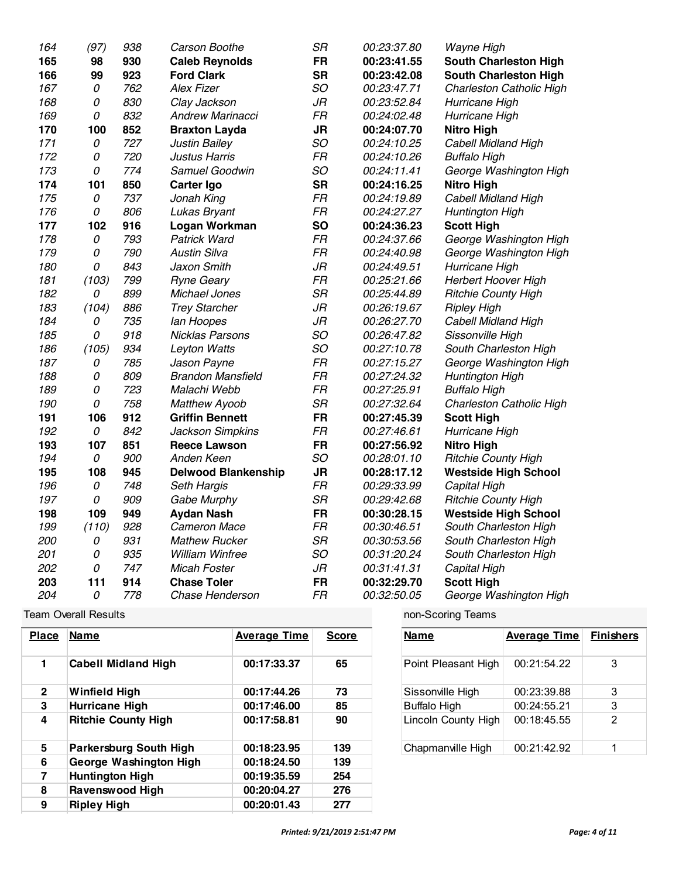| 164 | (97)  | 938 | Carson Boothe              | <b>SR</b> | 00:23:37.80 | Wayne High                   |
|-----|-------|-----|----------------------------|-----------|-------------|------------------------------|
| 165 | 98    | 930 | <b>Caleb Reynolds</b>      | <b>FR</b> | 00:23:41.55 | <b>South Charleston High</b> |
| 166 | 99    | 923 | <b>Ford Clark</b>          | <b>SR</b> | 00:23:42.08 | <b>South Charleston High</b> |
| 167 | 0     | 762 | <b>Alex Fizer</b>          | SO        | 00:23:47.71 | Charleston Catholic High     |
| 168 | 0     | 830 | Clay Jackson               | JR        | 00:23:52.84 | Hurricane High               |
| 169 | 0     | 832 | <b>Andrew Marinacci</b>    | FR        | 00:24:02.48 | Hurricane High               |
| 170 | 100   | 852 | <b>Braxton Layda</b>       | <b>JR</b> | 00:24:07.70 | <b>Nitro High</b>            |
| 171 | 0     | 727 | <b>Justin Bailey</b>       | SO        | 00:24:10.25 | <b>Cabell Midland High</b>   |
| 172 | 0     | 720 | <b>Justus Harris</b>       | FR        | 00:24:10.26 | <b>Buffalo High</b>          |
| 173 | 0     | 774 | Samuel Goodwin             | SO        | 00:24:11.41 | George Washington High       |
| 174 | 101   | 850 | Carter Igo                 | <b>SR</b> | 00:24:16.25 | <b>Nitro High</b>            |
| 175 | 0     | 737 | Jonah King                 | <b>FR</b> | 00:24:19.89 | Cabell Midland High          |
| 176 | 0     | 806 | Lukas Bryant               | FR        | 00:24:27.27 | Huntington High              |
| 177 | 102   | 916 | Logan Workman              | <b>SO</b> | 00:24:36.23 | <b>Scott High</b>            |
| 178 | 0     | 793 | <b>Patrick Ward</b>        | FR        | 00:24:37.66 | George Washington High       |
| 179 | 0     | 790 | <b>Austin Silva</b>        | FR        | 00:24:40.98 | George Washington High       |
| 180 | 0     | 843 | Jaxon Smith                | $J\!R$    | 00:24:49.51 | Hurricane High               |
| 181 | (103) | 799 | <b>Ryne Geary</b>          | FR        | 00:25:21.66 | Herbert Hoover High          |
| 182 | 0     | 899 | Michael Jones              | <b>SR</b> | 00:25:44.89 | <b>Ritchie County High</b>   |
| 183 | (104) | 886 | <b>Trey Starcher</b>       | $J\!R$    | 00:26:19.67 | <b>Ripley High</b>           |
| 184 | 0     | 735 | lan Hoopes                 | JR        | 00:26:27.70 | <b>Cabell Midland High</b>   |
| 185 | 0     | 918 | <b>Nicklas Parsons</b>     | SO        | 00:26:47.82 | Sissonville High             |
| 186 | (105) | 934 | Leyton Watts               | SO        | 00:27:10.78 | South Charleston High        |
| 187 | 0     | 785 | Jason Payne                | FR        | 00:27:15.27 | George Washington High       |
| 188 | 0     | 809 | <b>Brandon Mansfield</b>   | FR        | 00:27:24.32 | Huntington High              |
| 189 | 0     | 723 | Malachi Webb               | <b>FR</b> | 00:27:25.91 | <b>Buffalo High</b>          |
| 190 | 0     | 758 | <b>Matthew Ayoob</b>       | <b>SR</b> | 00:27:32.64 | Charleston Catholic High     |
| 191 | 106   | 912 | <b>Griffin Bennett</b>     | <b>FR</b> | 00:27:45.39 | <b>Scott High</b>            |
| 192 | 0     | 842 | Jackson Simpkins           | FR        | 00:27:46.61 | Hurricane High               |
| 193 | 107   | 851 | <b>Reece Lawson</b>        | <b>FR</b> | 00:27:56.92 | <b>Nitro High</b>            |
| 194 | 0     | 900 | Anden Keen                 | SO        | 00:28:01.10 | <b>Ritchie County High</b>   |
| 195 | 108   | 945 | <b>Delwood Blankenship</b> | <b>JR</b> | 00:28:17.12 | <b>Westside High School</b>  |
| 196 | 0     | 748 | Seth Hargis                | <b>FR</b> | 00:29:33.99 | Capital High                 |
| 197 | 0     | 909 | Gabe Murphy                | <b>SR</b> | 00:29:42.68 | <b>Ritchie County High</b>   |
| 198 | 109   | 949 | <b>Aydan Nash</b>          | <b>FR</b> | 00:30:28.15 | <b>Westside High School</b>  |
| 199 | (110) | 928 | <b>Cameron Mace</b>        | FR        | 00:30:46.51 | South Charleston High        |
| 200 | 0     | 931 | <b>Mathew Rucker</b>       | <b>SR</b> | 00:30:53.56 | South Charleston High        |
| 201 | 0     | 935 | William Winfree            | SO        | 00:31:20.24 | South Charleston High        |
| 202 | 0     | 747 | <b>Micah Foster</b>        | $J\!R$    | 00:31:41.31 | Capital High                 |
| 203 | 111   | 914 | <b>Chase Toler</b>         | <b>FR</b> | 00:32:29.70 | <b>Scott High</b>            |
| 204 | 0     | 778 | Chase Henderson            | <b>FR</b> | 00:32:50.05 | George Washington High       |

Team Overall Results **non-Scoring Teams** 

| <b>Place</b>   | Name                          | <b>Average Time</b> | <b>Score</b> | Name                | <b>Average Time</b> | <b>Finishers</b> |
|----------------|-------------------------------|---------------------|--------------|---------------------|---------------------|------------------|
|                | <b>Cabell Midland High</b>    | 00:17:33.37         | 65           | Point Pleasant High | 00:21:54.22         | 3                |
| $\overline{2}$ | Winfield High                 | 00:17:44.26         | 73           | Sissonville High    | 00:23:39.88         | 3                |
| 3              | Hurricane High                | 00:17:46.00         | 85           | <b>Buffalo High</b> | 00:24:55.21         | 3                |
| 4              | <b>Ritchie County High</b>    | 00:17:58.81         | 90           | Lincoln County High | 00:18:45.55         | 2                |
| 5              | <b>Parkersburg South High</b> | 00:18:23.95         | 139          | Chapmanville High   | 00:21:42.92         |                  |
| 6              | George Washington High        | 00:18:24.50         | 139          |                     |                     |                  |
| 7              | <b>Huntington High</b>        | 00:19:35.59         | 254          |                     |                     |                  |
| 8              | Ravenswood High               | 00:20:04.27         | 276          |                     |                     |                  |
| 9              | <b>Ripley High</b>            | 00:20:01.43         | 277          |                     |                     |                  |

| Name                | <b>Average Time</b> | <b>Finishers</b> |
|---------------------|---------------------|------------------|
| Point Pleasant High | 00:21:54.22         | 3                |
| Sissonville High    | 00:23:39.88         | 3                |
| <b>Buffalo High</b> | 00:24:55.21         | 3                |
| Lincoln County High | 00:18:45.55         | 2                |
| Chapmanville High   | 00:21:42.92         |                  |

| -11 | <b>Capital High</b>        | 00:20:02 (82ed: 9/21/2807 2: |     |
|-----|----------------------------|------------------------------|-----|
| 12  | <b>Herbert Hoover High</b> | 00:20:38.63                  | 296 |
| 13  | Wayne High                 | 00:20:13.73                  | 296 |
| -14 | Westside High School       | 00.24.3010                   | 435 |